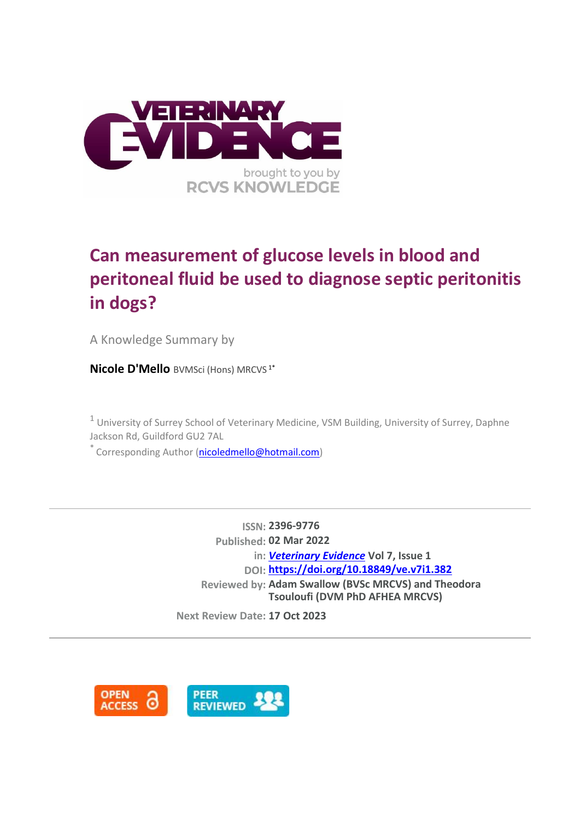

# **Can measurement of glucose levels in blood and peritoneal fluid be used to diagnose septic peritonitis in dogs?**

A Knowledge Summary by

**Nicole D'Mello** BVMSci (Hons) MRCVS 1\*

<sup>1</sup> University of Surrey School of Veterinary Medicine, VSM Building, University of Surrey, Daphne Jackson Rd, Guildford GU2 7AL

\* Corresponding Author [\(nicoledmello@hotmail.com\)](nicoledmello@hotmail.com)

**ISSN: 2396-9776 Published: 02 Mar 2022 in:** *[Veterinary Evidence](https://veterinaryevidence.org/index.php/ve)* **Vol 7, Issue 1 DOI: <https://doi.org/10.18849/ve.v7i1.382> Reviewed by: Adam Swallow (BVSc MRCVS) and Theodora Tsouloufi (DVM PhD AFHEA MRCVS)**

**Next Review Date: 17 Oct 2023**

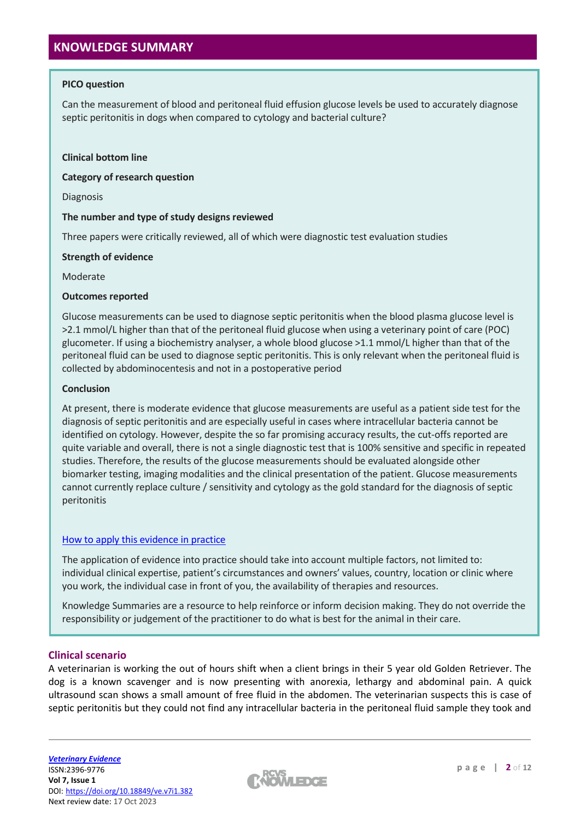# **KNOWLEDGE SUMMARY**

## **PICO question**

Can the measurement of blood and peritoneal fluid effusion glucose levels be used to accurately diagnose septic peritonitis in dogs when compared to cytology and bacterial culture?

## **Clinical bottom line**

**Category of research question**

Diagnosis

## **The number and type of study designs reviewed**

Three papers were critically reviewed, all of which were diagnostic test evaluation studies

## **Strength of evidence**

Moderate

## **Outcomes reported**

Glucose measurements can be used to diagnose septic peritonitis when the blood plasma glucose level is >2.1 mmol/L higher than that of the peritoneal fluid glucose when using a veterinary point of care (POC) glucometer. If using a biochemistry analyser, a whole blood glucose >1.1 mmol/L higher than that of the peritoneal fluid can be used to diagnose septic peritonitis. This is only relevant when the peritoneal fluid is collected by abdominocentesis and not in a postoperative period

## **Conclusion**

At present, there is moderate evidence that glucose measurements are useful as a patient side test for the diagnosis of septic peritonitis and are especially useful in cases where intracellular bacteria cannot be identified on cytology. However, despite the so far promising accuracy results, the cut-offs reported are quite variable and overall, there is not a single diagnostic test that is 100% sensitive and specific in repeated studies. Therefore, the results of the glucose measurements should be evaluated alongside other biomarker testing, imaging modalities and the clinical presentation of the patient. Glucose measurements cannot currently replace culture / sensitivity and cytology as the gold standard for the diagnosis of septic peritonitis

## [How to apply this evidence in practice](https://learn.rcvsknowledge.org/mod/book/view.php?id=50)

The application of evidence into practice should take into account multiple factors, not limited to: individual clinical expertise, patient's circumstances and owners' values, country, location or clinic where you work, the individual case in front of you, the availability of therapies and resources.

Knowledge Summaries are a resource to help reinforce or inform decision making. They do not override the responsibility or judgement of the practitioner to do what is best for the animal in their care.

## **Clinical scenario**

A veterinarian is working the out of hours shift when a client brings in their 5 year old Golden Retriever. The dog is a known scavenger and is now presenting with anorexia, lethargy and abdominal pain. A quick ultrasound scan shows a small amount of free fluid in the abdomen. The veterinarian suspects this is case of septic peritonitis but they could not find any intracellular bacteria in the peritoneal fluid sample they took and

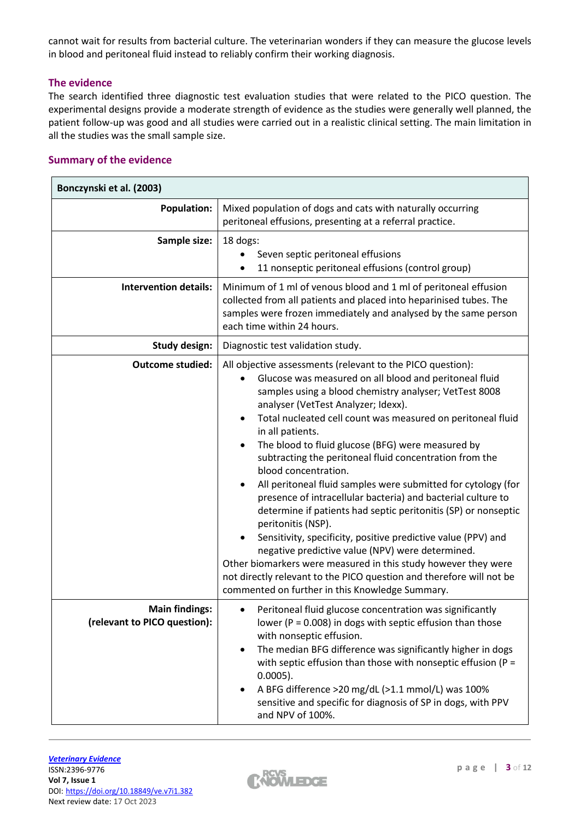cannot wait for results from bacterial culture. The veterinarian wonders if they can measure the glucose levels in blood and peritoneal fluid instead to reliably confirm their working diagnosis.

# **The evidence**

The search identified three diagnostic test evaluation studies that were related to the PICO question. The experimental designs provide a moderate strength of evidence as the studies were generally well planned, the patient follow-up was good and all studies were carried out in a realistic clinical setting. The main limitation in all the studies was the small sample size.

# **Summary of the evidence**

| Bonczynski et al. (2003)                              |                                                                                                                                                                                                                                                                                                                                                                                                                                                                                                                                                                                                                                                                                                                                                                                                                                                                                                                                                                                             |  |  |  |  |
|-------------------------------------------------------|---------------------------------------------------------------------------------------------------------------------------------------------------------------------------------------------------------------------------------------------------------------------------------------------------------------------------------------------------------------------------------------------------------------------------------------------------------------------------------------------------------------------------------------------------------------------------------------------------------------------------------------------------------------------------------------------------------------------------------------------------------------------------------------------------------------------------------------------------------------------------------------------------------------------------------------------------------------------------------------------|--|--|--|--|
| <b>Population:</b>                                    | Mixed population of dogs and cats with naturally occurring<br>peritoneal effusions, presenting at a referral practice.                                                                                                                                                                                                                                                                                                                                                                                                                                                                                                                                                                                                                                                                                                                                                                                                                                                                      |  |  |  |  |
| Sample size:                                          | 18 dogs:<br>Seven septic peritoneal effusions<br>11 nonseptic peritoneal effusions (control group)                                                                                                                                                                                                                                                                                                                                                                                                                                                                                                                                                                                                                                                                                                                                                                                                                                                                                          |  |  |  |  |
| <b>Intervention details:</b>                          | Minimum of 1 ml of venous blood and 1 ml of peritoneal effusion<br>collected from all patients and placed into heparinised tubes. The<br>samples were frozen immediately and analysed by the same person<br>each time within 24 hours.                                                                                                                                                                                                                                                                                                                                                                                                                                                                                                                                                                                                                                                                                                                                                      |  |  |  |  |
| <b>Study design:</b>                                  | Diagnostic test validation study.                                                                                                                                                                                                                                                                                                                                                                                                                                                                                                                                                                                                                                                                                                                                                                                                                                                                                                                                                           |  |  |  |  |
| <b>Outcome studied:</b>                               | All objective assessments (relevant to the PICO question):<br>Glucose was measured on all blood and peritoneal fluid<br>samples using a blood chemistry analyser; VetTest 8008<br>analyser (VetTest Analyzer; Idexx).<br>Total nucleated cell count was measured on peritoneal fluid<br>in all patients.<br>The blood to fluid glucose (BFG) were measured by<br>subtracting the peritoneal fluid concentration from the<br>blood concentration.<br>All peritoneal fluid samples were submitted for cytology (for<br>presence of intracellular bacteria) and bacterial culture to<br>determine if patients had septic peritonitis (SP) or nonseptic<br>peritonitis (NSP).<br>Sensitivity, specificity, positive predictive value (PPV) and<br>negative predictive value (NPV) were determined.<br>Other biomarkers were measured in this study however they were<br>not directly relevant to the PICO question and therefore will not be<br>commented on further in this Knowledge Summary. |  |  |  |  |
| <b>Main findings:</b><br>(relevant to PICO question): | Peritoneal fluid glucose concentration was significantly<br>lower ( $P = 0.008$ ) in dogs with septic effusion than those<br>with nonseptic effusion.<br>The median BFG difference was significantly higher in dogs<br>$\bullet$<br>with septic effusion than those with nonseptic effusion ( $P =$<br>$0.0005$ ).<br>A BFG difference >20 mg/dL (>1.1 mmol/L) was 100%<br>٠<br>sensitive and specific for diagnosis of SP in dogs, with PPV<br>and NPV of 100%.                                                                                                                                                                                                                                                                                                                                                                                                                                                                                                                            |  |  |  |  |

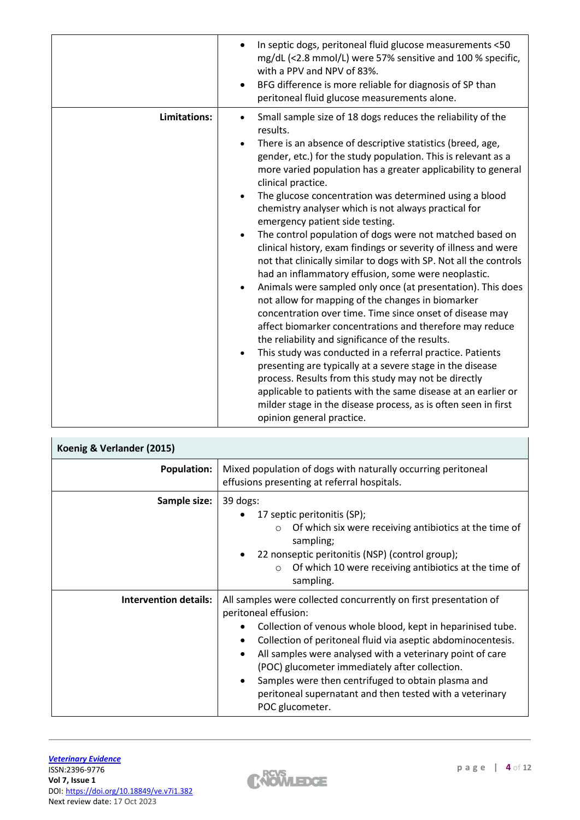|              | In septic dogs, peritoneal fluid glucose measurements <50<br>mg/dL (<2.8 mmol/L) were 57% sensitive and 100 % specific,<br>with a PPV and NPV of 83%.<br>BFG difference is more reliable for diagnosis of SP than<br>$\bullet$<br>peritoneal fluid glucose measurements alone.                                                                                                                                                                                                                                                                                                                                                                                                                                                                                                                                                                                                                                                                                                                                                                                                                                                                                                                                                                                                                                                                                                            |
|--------------|-------------------------------------------------------------------------------------------------------------------------------------------------------------------------------------------------------------------------------------------------------------------------------------------------------------------------------------------------------------------------------------------------------------------------------------------------------------------------------------------------------------------------------------------------------------------------------------------------------------------------------------------------------------------------------------------------------------------------------------------------------------------------------------------------------------------------------------------------------------------------------------------------------------------------------------------------------------------------------------------------------------------------------------------------------------------------------------------------------------------------------------------------------------------------------------------------------------------------------------------------------------------------------------------------------------------------------------------------------------------------------------------|
| Limitations: | Small sample size of 18 dogs reduces the reliability of the<br>$\bullet$<br>results.<br>There is an absence of descriptive statistics (breed, age,<br>$\bullet$<br>gender, etc.) for the study population. This is relevant as a<br>more varied population has a greater applicability to general<br>clinical practice.<br>The glucose concentration was determined using a blood<br>chemistry analyser which is not always practical for<br>emergency patient side testing.<br>The control population of dogs were not matched based on<br>clinical history, exam findings or severity of illness and were<br>not that clinically similar to dogs with SP. Not all the controls<br>had an inflammatory effusion, some were neoplastic.<br>Animals were sampled only once (at presentation). This does<br>not allow for mapping of the changes in biomarker<br>concentration over time. Time since onset of disease may<br>affect biomarker concentrations and therefore may reduce<br>the reliability and significance of the results.<br>This study was conducted in a referral practice. Patients<br>presenting are typically at a severe stage in the disease<br>process. Results from this study may not be directly<br>applicable to patients with the same disease at an earlier or<br>milder stage in the disease process, as is often seen in first<br>opinion general practice. |

| Koenig & Verlander (2015)    |                                                                                                                                                                                                                                                                                                                                                                                                                                                                             |  |  |  |
|------------------------------|-----------------------------------------------------------------------------------------------------------------------------------------------------------------------------------------------------------------------------------------------------------------------------------------------------------------------------------------------------------------------------------------------------------------------------------------------------------------------------|--|--|--|
| <b>Population:</b>           | Mixed population of dogs with naturally occurring peritoneal<br>effusions presenting at referral hospitals.                                                                                                                                                                                                                                                                                                                                                                 |  |  |  |
| Sample size:                 | 39 dogs:<br>17 septic peritonitis (SP);<br>Of which six were receiving antibiotics at the time of<br>$\circ$<br>sampling;<br>22 nonseptic peritonitis (NSP) (control group);<br>Of which 10 were receiving antibiotics at the time of<br>$\circ$<br>sampling.                                                                                                                                                                                                               |  |  |  |
| <b>Intervention details:</b> | All samples were collected concurrently on first presentation of<br>peritoneal effusion:<br>Collection of venous whole blood, kept in heparinised tube.<br>Collection of peritoneal fluid via aseptic abdominocentesis.<br>All samples were analysed with a veterinary point of care<br>(POC) glucometer immediately after collection.<br>Samples were then centrifuged to obtain plasma and<br>peritoneal supernatant and then tested with a veterinary<br>POC glucometer. |  |  |  |



 $\overline{\phantom{a}}$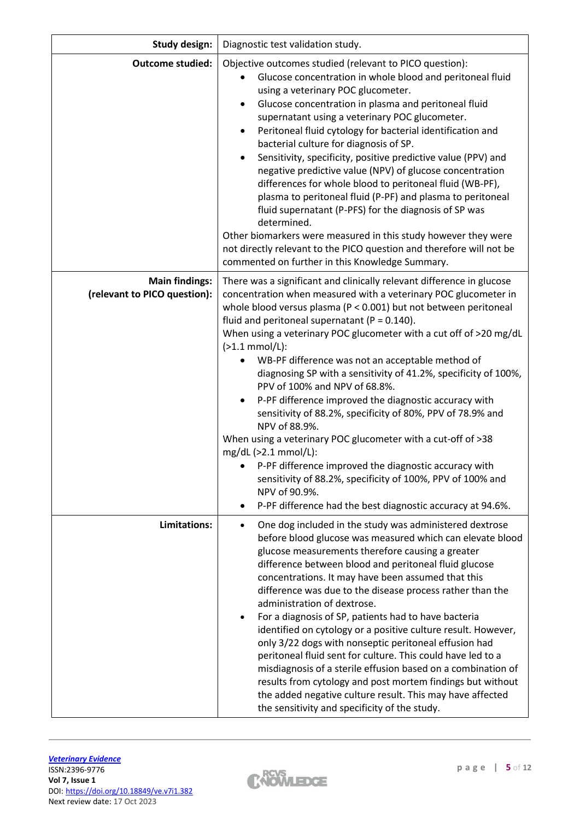| <b>Study design:</b>                                  | Diagnostic test validation study.                                                                                                                                                                                                                                                                                                                                                                                                                                                                                                                                                                                                                                                                                                                                                                                                                                                                                                                             |  |  |  |  |
|-------------------------------------------------------|---------------------------------------------------------------------------------------------------------------------------------------------------------------------------------------------------------------------------------------------------------------------------------------------------------------------------------------------------------------------------------------------------------------------------------------------------------------------------------------------------------------------------------------------------------------------------------------------------------------------------------------------------------------------------------------------------------------------------------------------------------------------------------------------------------------------------------------------------------------------------------------------------------------------------------------------------------------|--|--|--|--|
| <b>Outcome studied:</b>                               | Objective outcomes studied (relevant to PICO question):<br>Glucose concentration in whole blood and peritoneal fluid<br>using a veterinary POC glucometer.<br>Glucose concentration in plasma and peritoneal fluid<br>supernatant using a veterinary POC glucometer.<br>Peritoneal fluid cytology for bacterial identification and<br>bacterial culture for diagnosis of SP.<br>Sensitivity, specificity, positive predictive value (PPV) and<br>$\bullet$<br>negative predictive value (NPV) of glucose concentration<br>differences for whole blood to peritoneal fluid (WB-PF),<br>plasma to peritoneal fluid (P-PF) and plasma to peritoneal<br>fluid supernatant (P-PFS) for the diagnosis of SP was<br>determined.<br>Other biomarkers were measured in this study however they were<br>not directly relevant to the PICO question and therefore will not be<br>commented on further in this Knowledge Summary.                                         |  |  |  |  |
| <b>Main findings:</b><br>(relevant to PICO question): | There was a significant and clinically relevant difference in glucose<br>concentration when measured with a veterinary POC glucometer in<br>whole blood versus plasma ( $P < 0.001$ ) but not between peritoneal<br>fluid and peritoneal supernatant ( $P = 0.140$ ).<br>When using a veterinary POC glucometer with a cut off of >20 mg/dL<br>$(>1.1$ mmol/L):<br>WB-PF difference was not an acceptable method of<br>diagnosing SP with a sensitivity of 41.2%, specificity of 100%,<br>PPV of 100% and NPV of 68.8%.<br>P-PF difference improved the diagnostic accuracy with<br>sensitivity of 88.2%, specificity of 80%, PPV of 78.9% and<br>NPV of 88.9%.<br>When using a veterinary POC glucometer with a cut-off of >38<br>mg/dL (>2.1 mmol/L):<br>P-PF difference improved the diagnostic accuracy with<br>sensitivity of 88.2%, specificity of 100%, PPV of 100% and<br>NPV of 90.9%.<br>P-PF difference had the best diagnostic accuracy at 94.6%. |  |  |  |  |
| Limitations:                                          | One dog included in the study was administered dextrose<br>$\bullet$<br>before blood glucose was measured which can elevate blood<br>glucose measurements therefore causing a greater<br>difference between blood and peritoneal fluid glucose<br>concentrations. It may have been assumed that this<br>difference was due to the disease process rather than the<br>administration of dextrose.<br>For a diagnosis of SP, patients had to have bacteria<br>identified on cytology or a positive culture result. However,<br>only 3/22 dogs with nonseptic peritoneal effusion had<br>peritoneal fluid sent for culture. This could have led to a<br>misdiagnosis of a sterile effusion based on a combination of<br>results from cytology and post mortem findings but without<br>the added negative culture result. This may have affected<br>the sensitivity and specificity of the study.                                                                 |  |  |  |  |

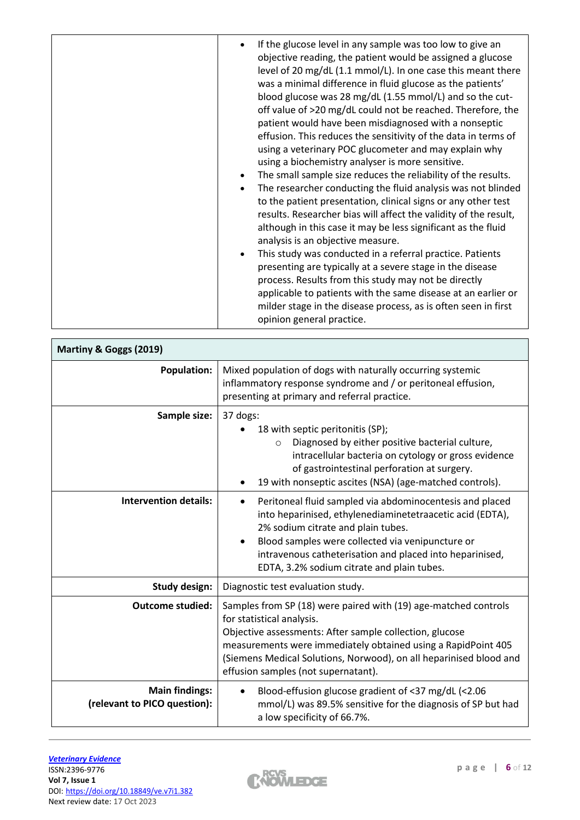| If the glucose level in any sample was too low to give an<br>objective reading, the patient would be assigned a glucose<br>level of 20 mg/dL (1.1 mmol/L). In one case this meant there<br>was a minimal difference in fluid glucose as the patients'<br>blood glucose was 28 mg/dL (1.55 mmol/L) and so the cut-<br>off value of >20 mg/dL could not be reached. Therefore, the<br>patient would have been misdiagnosed with a nonseptic<br>effusion. This reduces the sensitivity of the data in terms of<br>using a veterinary POC glucometer and may explain why<br>using a biochemistry analyser is more sensitive.<br>The small sample size reduces the reliability of the results.<br>The researcher conducting the fluid analysis was not blinded<br>to the patient presentation, clinical signs or any other test<br>results. Researcher bias will affect the validity of the result,<br>although in this case it may be less significant as the fluid<br>analysis is an objective measure.<br>This study was conducted in a referral practice. Patients<br>$\bullet$<br>presenting are typically at a severe stage in the disease<br>process. Results from this study may not be directly<br>applicable to patients with the same disease at an earlier or |
|----------------------------------------------------------------------------------------------------------------------------------------------------------------------------------------------------------------------------------------------------------------------------------------------------------------------------------------------------------------------------------------------------------------------------------------------------------------------------------------------------------------------------------------------------------------------------------------------------------------------------------------------------------------------------------------------------------------------------------------------------------------------------------------------------------------------------------------------------------------------------------------------------------------------------------------------------------------------------------------------------------------------------------------------------------------------------------------------------------------------------------------------------------------------------------------------------------------------------------------------------------------------|
| milder stage in the disease process, as is often seen in first<br>opinion general practice.                                                                                                                                                                                                                                                                                                                                                                                                                                                                                                                                                                                                                                                                                                                                                                                                                                                                                                                                                                                                                                                                                                                                                                          |

| Martiny & Goggs (2019)                                |                                                                                                                                                                                                                                                                                                                                                                                                                                                                                                                                                                                                                             |  |  |  |  |
|-------------------------------------------------------|-----------------------------------------------------------------------------------------------------------------------------------------------------------------------------------------------------------------------------------------------------------------------------------------------------------------------------------------------------------------------------------------------------------------------------------------------------------------------------------------------------------------------------------------------------------------------------------------------------------------------------|--|--|--|--|
| <b>Population:</b>                                    | Mixed population of dogs with naturally occurring systemic<br>inflammatory response syndrome and / or peritoneal effusion,<br>presenting at primary and referral practice.                                                                                                                                                                                                                                                                                                                                                                                                                                                  |  |  |  |  |
| Sample size:                                          | 37 dogs:<br>18 with septic peritonitis (SP);<br>Diagnosed by either positive bacterial culture,<br>$\circ$<br>intracellular bacteria on cytology or gross evidence<br>of gastrointestinal perforation at surgery.<br>19 with nonseptic ascites (NSA) (age-matched controls).<br>Peritoneal fluid sampled via abdominocentesis and placed<br>٠<br>into heparinised, ethylenediaminetetraacetic acid (EDTA),<br>2% sodium citrate and plain tubes.<br>Blood samples were collected via venipuncture or<br>$\bullet$<br>intravenous catheterisation and placed into heparinised,<br>EDTA, 3.2% sodium citrate and plain tubes. |  |  |  |  |
| <b>Intervention details:</b>                          |                                                                                                                                                                                                                                                                                                                                                                                                                                                                                                                                                                                                                             |  |  |  |  |
| <b>Study design:</b>                                  | Diagnostic test evaluation study.                                                                                                                                                                                                                                                                                                                                                                                                                                                                                                                                                                                           |  |  |  |  |
| <b>Outcome studied:</b>                               | Samples from SP (18) were paired with (19) age-matched controls<br>for statistical analysis.<br>Objective assessments: After sample collection, glucose<br>measurements were immediately obtained using a RapidPoint 405<br>(Siemens Medical Solutions, Norwood), on all heparinised blood and<br>effusion samples (not supernatant).                                                                                                                                                                                                                                                                                       |  |  |  |  |
| <b>Main findings:</b><br>(relevant to PICO question): | Blood-effusion glucose gradient of <37 mg/dL (<2.06<br>$\bullet$<br>mmol/L) was 89.5% sensitive for the diagnosis of SP but had<br>a low specificity of 66.7%.                                                                                                                                                                                                                                                                                                                                                                                                                                                              |  |  |  |  |

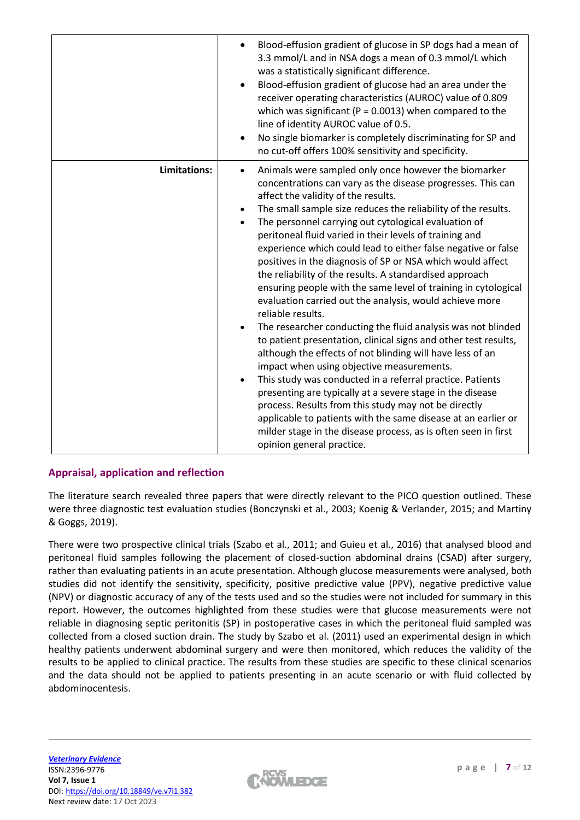|                     | Blood-effusion gradient of glucose in SP dogs had a mean of<br>3.3 mmol/L and in NSA dogs a mean of 0.3 mmol/L which<br>was a statistically significant difference.<br>Blood-effusion gradient of glucose had an area under the<br>$\bullet$<br>receiver operating characteristics (AUROC) value of 0.809<br>which was significant ( $P = 0.0013$ ) when compared to the<br>line of identity AUROC value of 0.5.<br>No single biomarker is completely discriminating for SP and<br>٠<br>no cut-off offers 100% sensitivity and specificity.                                                                                                                                                                                                                                                                                                                                                                                                                                                                                                                                                                                                                                                                                                                                                                                                   |
|---------------------|-----------------------------------------------------------------------------------------------------------------------------------------------------------------------------------------------------------------------------------------------------------------------------------------------------------------------------------------------------------------------------------------------------------------------------------------------------------------------------------------------------------------------------------------------------------------------------------------------------------------------------------------------------------------------------------------------------------------------------------------------------------------------------------------------------------------------------------------------------------------------------------------------------------------------------------------------------------------------------------------------------------------------------------------------------------------------------------------------------------------------------------------------------------------------------------------------------------------------------------------------------------------------------------------------------------------------------------------------|
| <b>Limitations:</b> | Animals were sampled only once however the biomarker<br>$\bullet$<br>concentrations can vary as the disease progresses. This can<br>affect the validity of the results.<br>The small sample size reduces the reliability of the results.<br>$\bullet$<br>The personnel carrying out cytological evaluation of<br>$\bullet$<br>peritoneal fluid varied in their levels of training and<br>experience which could lead to either false negative or false<br>positives in the diagnosis of SP or NSA which would affect<br>the reliability of the results. A standardised approach<br>ensuring people with the same level of training in cytological<br>evaluation carried out the analysis, would achieve more<br>reliable results.<br>The researcher conducting the fluid analysis was not blinded<br>to patient presentation, clinical signs and other test results,<br>although the effects of not blinding will have less of an<br>impact when using objective measurements.<br>This study was conducted in a referral practice. Patients<br>$\bullet$<br>presenting are typically at a severe stage in the disease<br>process. Results from this study may not be directly<br>applicable to patients with the same disease at an earlier or<br>milder stage in the disease process, as is often seen in first<br>opinion general practice. |

# **Appraisal, application and reflection**

The literature search revealed three papers that were directly relevant to the PICO question outlined. These were three diagnostic test evaluation studies (Bonczynski et al., 2003; Koenig & Verlander, 2015; and Martiny & Goggs, 2019).

There were two prospective clinical trials (Szabo et al., 2011; and Guieu et al., 2016) that analysed blood and peritoneal fluid samples following the placement of closed-suction abdominal drains (CSAD) after surgery, rather than evaluating patients in an acute presentation. Although glucose measurements were analysed, both studies did not identify the sensitivity, specificity, positive predictive value (PPV), negative predictive value (NPV) or diagnostic accuracy of any of the tests used and so the studies were not included for summary in this report. However, the outcomes highlighted from these studies were that glucose measurements were not reliable in diagnosing septic peritonitis (SP) in postoperative cases in which the peritoneal fluid sampled was collected from a closed suction drain. The study by Szabo et al. (2011) used an experimental design in which healthy patients underwent abdominal surgery and were then monitored, which reduces the validity of the results to be applied to clinical practice. The results from these studies are specific to these clinical scenarios and the data should not be applied to patients presenting in an acute scenario or with fluid collected by abdominocentesis.

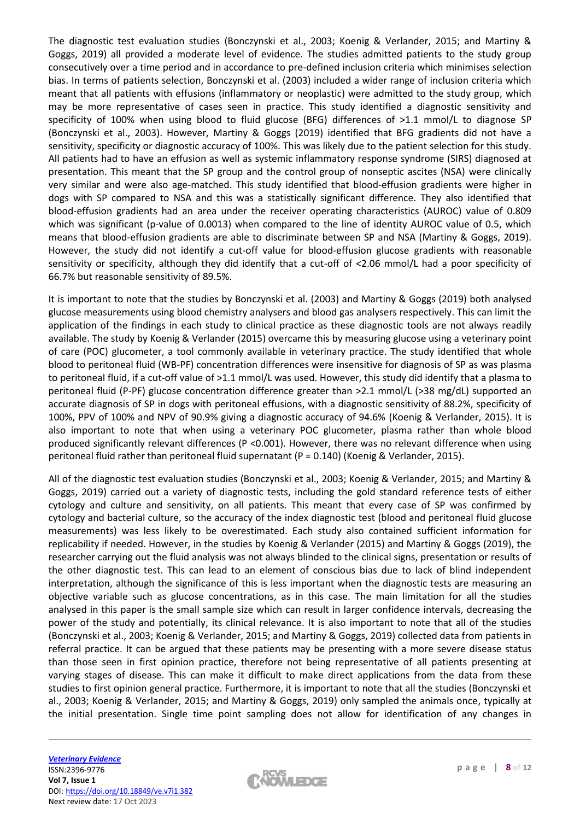The diagnostic test evaluation studies (Bonczynski et al., 2003; Koenig & Verlander, 2015; and Martiny & Goggs, 2019) all provided a moderate level of evidence. The studies admitted patients to the study group consecutively over a time period and in accordance to pre-defined inclusion criteria which minimises selection bias. In terms of patients selection, Bonczynski et al. (2003) included a wider range of inclusion criteria which meant that all patients with effusions (inflammatory or neoplastic) were admitted to the study group, which may be more representative of cases seen in practice. This study identified a diagnostic sensitivity and specificity of 100% when using blood to fluid glucose (BFG) differences of >1.1 mmol/L to diagnose SP (Bonczynski et al., 2003). However, Martiny & Goggs (2019) identified that BFG gradients did not have a sensitivity, specificity or diagnostic accuracy of 100%. This was likely due to the patient selection for this study. All patients had to have an effusion as well as systemic inflammatory response syndrome (SIRS) diagnosed at presentation. This meant that the SP group and the control group of nonseptic ascites (NSA) were clinically very similar and were also age-matched. This study identified that blood-effusion gradients were higher in dogs with SP compared to NSA and this was a statistically significant difference. They also identified that blood-effusion gradients had an area under the receiver operating characteristics (AUROC) value of 0.809 which was significant (p-value of 0.0013) when compared to the line of identity AUROC value of 0.5, which means that blood-effusion gradients are able to discriminate between SP and NSA (Martiny & Goggs, 2019). However, the study did not identify a cut-off value for blood-effusion glucose gradients with reasonable sensitivity or specificity, although they did identify that a cut-off of <2.06 mmol/L had a poor specificity of 66.7% but reasonable sensitivity of 89.5%.

It is important to note that the studies by Bonczynski et al. (2003) and Martiny & Goggs (2019) both analysed glucose measurements using blood chemistry analysers and blood gas analysers respectively. This can limit the application of the findings in each study to clinical practice as these diagnostic tools are not always readily available. The study by Koenig & Verlander (2015) overcame this by measuring glucose using a veterinary point of care (POC) glucometer, a tool commonly available in veterinary practice. The study identified that whole blood to peritoneal fluid (WB-PF) concentration differences were insensitive for diagnosis of SP as was plasma to peritoneal fluid, if a cut-off value of >1.1 mmol/L was used. However, this study did identify that a plasma to peritoneal fluid (P-PF) glucose concentration difference greater than >2.1 mmol/L (>38 mg/dL) supported an accurate diagnosis of SP in dogs with peritoneal effusions, with a diagnostic sensitivity of 88.2%, specificity of 100%, PPV of 100% and NPV of 90.9% giving a diagnostic accuracy of 94.6% (Koenig & Verlander, 2015). It is also important to note that when using a veterinary POC glucometer, plasma rather than whole blood produced significantly relevant differences (P <0.001). However, there was no relevant difference when using peritoneal fluid rather than peritoneal fluid supernatant (P = 0.140) (Koenig & Verlander, 2015).

All of the diagnostic test evaluation studies (Bonczynski et al., 2003; Koenig & Verlander, 2015; and Martiny & Goggs, 2019) carried out a variety of diagnostic tests, including the gold standard reference tests of either cytology and culture and sensitivity, on all patients. This meant that every case of SP was confirmed by cytology and bacterial culture, so the accuracy of the index diagnostic test (blood and peritoneal fluid glucose measurements) was less likely to be overestimated. Each study also contained sufficient information for replicability if needed. However, in the studies by Koenig & Verlander (2015) and Martiny & Goggs (2019), the researcher carrying out the fluid analysis was not always blinded to the clinical signs, presentation or results of the other diagnostic test. This can lead to an element of conscious bias due to lack of blind independent interpretation, although the significance of this is less important when the diagnostic tests are measuring an objective variable such as glucose concentrations, as in this case. The main limitation for all the studies analysed in this paper is the small sample size which can result in larger confidence intervals, decreasing the power of the study and potentially, its clinical relevance. It is also important to note that all of the studies (Bonczynski et al., 2003; Koenig & Verlander, 2015; and Martiny & Goggs, 2019) collected data from patients in referral practice. It can be argued that these patients may be presenting with a more severe disease status than those seen in first opinion practice, therefore not being representative of all patients presenting at varying stages of disease. This can make it difficult to make direct applications from the data from these studies to first opinion general practice. Furthermore, it is important to note that all the studies (Bonczynski et al., 2003; Koenig & Verlander, 2015; and Martiny & Goggs, 2019) only sampled the animals once, typically at the initial presentation. Single time point sampling does not allow for identification of any changes in

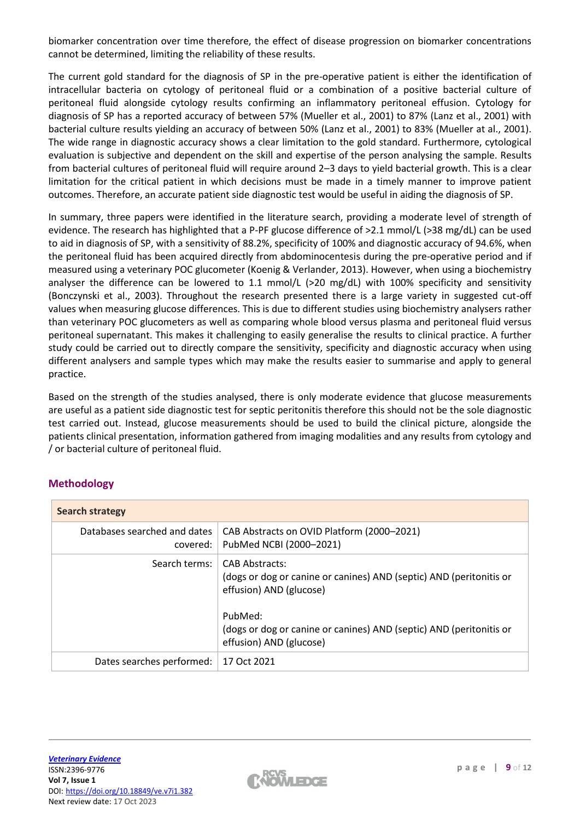biomarker concentration over time therefore, the effect of disease progression on biomarker concentrations cannot be determined, limiting the reliability of these results.

The current gold standard for the diagnosis of SP in the pre-operative patient is either the identification of intracellular bacteria on cytology of peritoneal fluid or a combination of a positive bacterial culture of peritoneal fluid alongside cytology results confirming an inflammatory peritoneal effusion. Cytology for diagnosis of SP has a reported accuracy of between 57% (Mueller et al., 2001) to 87% (Lanz et al., 2001) with bacterial culture results yielding an accuracy of between 50% (Lanz et al., 2001) to 83% (Mueller at al., 2001). The wide range in diagnostic accuracy shows a clear limitation to the gold standard. Furthermore, cytological evaluation is subjective and dependent on the skill and expertise of the person analysing the sample. Results from bacterial cultures of peritoneal fluid will require around 2–3 days to yield bacterial growth. This is a clear limitation for the critical patient in which decisions must be made in a timely manner to improve patient outcomes. Therefore, an accurate patient side diagnostic test would be useful in aiding the diagnosis of SP.

In summary, three papers were identified in the literature search, providing a moderate level of strength of evidence. The research has highlighted that a P-PF glucose difference of >2.1 mmol/L (>38 mg/dL) can be used to aid in diagnosis of SP, with a sensitivity of 88.2%, specificity of 100% and diagnostic accuracy of 94.6%, when the peritoneal fluid has been acquired directly from abdominocentesis during the pre-operative period and if measured using a veterinary POC glucometer (Koenig & Verlander, 2013). However, when using a biochemistry analyser the difference can be lowered to 1.1 mmol/L (>20 mg/dL) with 100% specificity and sensitivity (Bonczynski et al., 2003). Throughout the research presented there is a large variety in suggested cut-off values when measuring glucose differences. This is due to different studies using biochemistry analysers rather than veterinary POC glucometers as well as comparing whole blood versus plasma and peritoneal fluid versus peritoneal supernatant. This makes it challenging to easily generalise the results to clinical practice. A further study could be carried out to directly compare the sensitivity, specificity and diagnostic accuracy when using different analysers and sample types which may make the results easier to summarise and apply to general practice.

Based on the strength of the studies analysed, there is only moderate evidence that glucose measurements are useful as a patient side diagnostic test for septic peritonitis therefore this should not be the sole diagnostic test carried out. Instead, glucose measurements should be used to build the clinical picture, alongside the patients clinical presentation, information gathered from imaging modalities and any results from cytology and / or bacterial culture of peritoneal fluid.

| <b>Search strategy</b>                   |                                                                                                                                                                                                                               |  |
|------------------------------------------|-------------------------------------------------------------------------------------------------------------------------------------------------------------------------------------------------------------------------------|--|
| Databases searched and dates<br>covered: | CAB Abstracts on OVID Platform (2000–2021)<br>PubMed NCBI (2000-2021)                                                                                                                                                         |  |
| Search terms:                            | CAB Abstracts:<br>(dogs or dog or canine or canines) AND (septic) AND (peritonitis or<br>effusion) AND (glucose)<br>PubMed:<br>(dogs or dog or canine or canines) AND (septic) AND (peritonitis or<br>effusion) AND (glucose) |  |
| Dates searches performed:                | 17 Oct 2021                                                                                                                                                                                                                   |  |

# **Methodology**

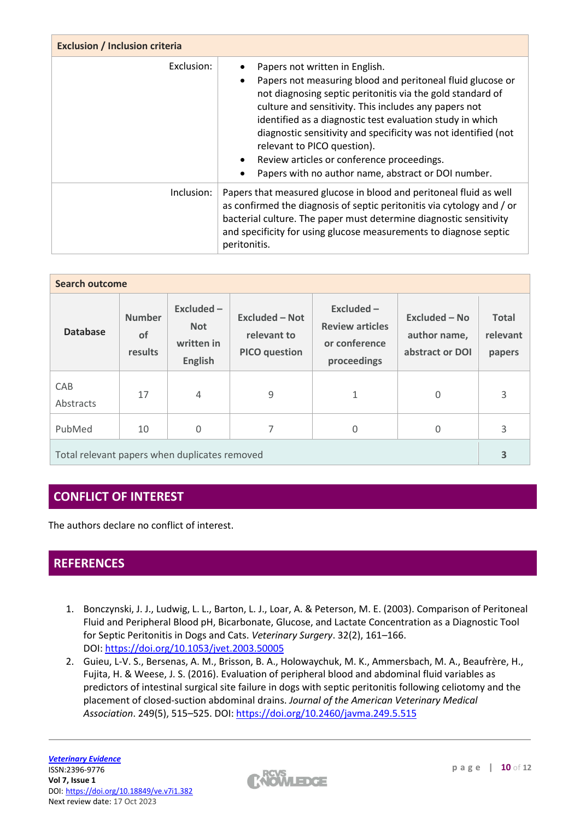| <b>Exclusion / Inclusion criteria</b> |                                                                                                                                                                                                                                                                                                                                                                                                                                                                                                     |  |  |  |
|---------------------------------------|-----------------------------------------------------------------------------------------------------------------------------------------------------------------------------------------------------------------------------------------------------------------------------------------------------------------------------------------------------------------------------------------------------------------------------------------------------------------------------------------------------|--|--|--|
| Exclusion:                            | Papers not written in English.<br>Papers not measuring blood and peritoneal fluid glucose or<br>not diagnosing septic peritonitis via the gold standard of<br>culture and sensitivity. This includes any papers not<br>identified as a diagnostic test evaluation study in which<br>diagnostic sensitivity and specificity was not identified (not<br>relevant to PICO question).<br>Review articles or conference proceedings.<br>$\bullet$<br>Papers with no author name, abstract or DOI number. |  |  |  |
| Inclusion:                            | Papers that measured glucose in blood and peritoneal fluid as well<br>as confirmed the diagnosis of septic peritonitis via cytology and / or<br>bacterial culture. The paper must determine diagnostic sensitivity<br>and specificity for using glucose measurements to diagnose septic<br>peritonitis.                                                                                                                                                                                             |  |  |  |

| <b>Search outcome</b>                         |                                |                                                          |                                                              |                                                                        |                                                  |                                    |
|-----------------------------------------------|--------------------------------|----------------------------------------------------------|--------------------------------------------------------------|------------------------------------------------------------------------|--------------------------------------------------|------------------------------------|
| <b>Database</b>                               | <b>Number</b><br>of<br>results | Excluded -<br><b>Not</b><br>written in<br><b>English</b> | <b>Excluded - Not</b><br>relevant to<br><b>PICO</b> question | $Excluded -$<br><b>Review articles</b><br>or conference<br>proceedings | Excluded - No<br>author name,<br>abstract or DOI | <b>Total</b><br>relevant<br>papers |
| CAB<br>Abstracts                              | 17                             | $\overline{4}$                                           | 9                                                            | $\mathbf{1}$                                                           | 0                                                | 3                                  |
| PubMed                                        | 10                             | $\Omega$                                                 | 7                                                            | 0                                                                      | $\Omega$                                         | 3                                  |
| Total relevant papers when duplicates removed |                                |                                                          |                                                              | 3                                                                      |                                                  |                                    |

# **CONFLICT OF INTEREST**

The authors declare no conflict of interest.

# **REFERENCES**

- 1. Bonczynski, J. J., Ludwig, L. L., Barton, L. J., Loar, A. & Peterson, M. E. (2003). Comparison of Peritoneal Fluid and Peripheral Blood pH, Bicarbonate, Glucose, and Lactate Concentration as a Diagnostic Tool for Septic Peritonitis in Dogs and Cats. *Veterinary Surgery*. 32(2), 161–166. DOI: <https://doi.org/10.1053/jvet.2003.50005>
- 2. Guieu, L-V. S., Bersenas, A. M., Brisson, B. A., Holowaychuk, M. K., Ammersbach, M. A., Beaufrère, H., Fujita, H. & Weese, J. S. (2016). Evaluation of peripheral blood and abdominal fluid variables as predictors of intestinal surgical site failure in dogs with septic peritonitis following celiotomy and the placement of closed-suction abdominal drains. *Journal of the American Veterinary Medical Association*. 249(5), 515–525. DOI: <https://doi.org/10.2460/javma.249.5.515>

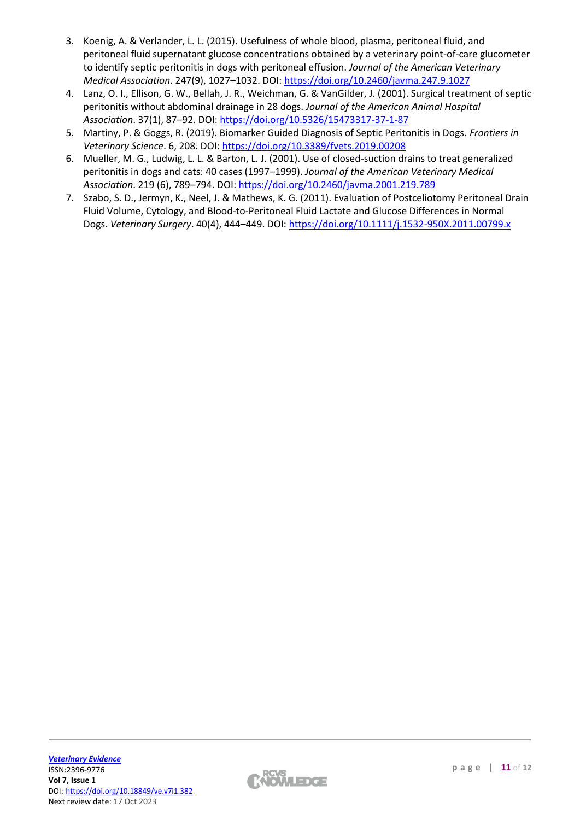- 3. Koenig, A. & Verlander, L. L. (2015). Usefulness of whole blood, plasma, peritoneal fluid, and peritoneal fluid supernatant glucose concentrations obtained by a veterinary point-of-care glucometer to identify septic peritonitis in dogs with peritoneal effusion. *Journal of the American Veterinary Medical Association*. 247(9), 1027–1032. DOI: <https://doi.org/10.2460/javma.247.9.1027>
- 4. Lanz, O. I., Ellison, G. W., Bellah, J. R., Weichman, G. & VanGilder, J. (2001). Surgical treatment of septic peritonitis without abdominal drainage in 28 dogs. *Journal of the American Animal Hospital Association*. 37(1), 87–92. DOI: <https://doi.org/10.5326/15473317-37-1-87>
- 5. Martiny, P. & Goggs, R. (2019). Biomarker Guided Diagnosis of Septic Peritonitis in Dogs. *Frontiers in Veterinary Science*. 6, 208. DOI: <https://doi.org/10.3389/fvets.2019.00208>
- 6. Mueller, M. G., Ludwig, L. L. & Barton, L. J. (2001). Use of closed-suction drains to treat generalized peritonitis in dogs and cats: 40 cases (1997–1999). *Journal of the American Veterinary Medical Association*. 219 (6), 789–794. DOI: <https://doi.org/10.2460/javma.2001.219.789>
- 7. Szabo, S. D., Jermyn, K., Neel, J. & Mathews, K. G. (2011). Evaluation of Postceliotomy Peritoneal Drain Fluid Volume, Cytology, and Blood-to-Peritoneal Fluid Lactate and Glucose Differences in Normal Dogs. *Veterinary Surgery*. 40(4), 444–449. DOI: <https://doi.org/10.1111/j.1532-950X.2011.00799.x>